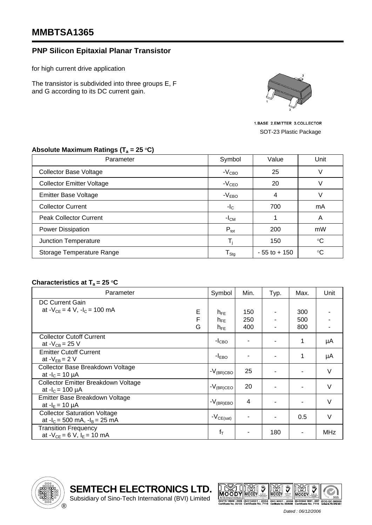## **MMBTSA1365**

## **PNP Silicon Epitaxial Planar Transistor**

for high current drive application

The transistor is subdivided into three groups E, F and G according to its DC current gain.



1.BASE 2.EMITTER 3.COLLECTOR SOT-23 Plastic Package

| Parameter                        | Symbol              | Value           | Unit            |  |
|----------------------------------|---------------------|-----------------|-----------------|--|
| <b>Collector Base Voltage</b>    | $-VCBO$             | 25              |                 |  |
| <b>Collector Emitter Voltage</b> | $-VCEO$             | 20              |                 |  |
| <b>Emitter Base Voltage</b>      | $-VEBO$             | 4               |                 |  |
| <b>Collector Current</b>         | $-IC$               | 700             | mA              |  |
| <b>Peak Collector Current</b>    | $-ICM$              |                 | A               |  |
| Power Dissipation                | $P_{\text{tot}}$    | 200             | mW              |  |
| Junction Temperature             |                     | 150             | $\rm ^{\circ}C$ |  |
| Storage Temperature Range        | ${\sf T}_{\sf Stg}$ | $-55$ to $+150$ | $^{\circ}C$     |  |

## Absolute Maximum Ratings (T<sub>a</sub> = 25 °C)

## **Characteristics at T<sub>a</sub> = 25 °C**

| Parameter                            |   | Symbol              | Min. | Typ. | Max. | Unit       |
|--------------------------------------|---|---------------------|------|------|------|------------|
| <b>DC Current Gain</b>               |   |                     |      |      |      |            |
| at $-V_{CE} = 4 V$ , $-I_C = 100 mA$ | Е | $h_{FF}$            | 150  |      | 300  |            |
|                                      | F | $h_{FE}$            | 250  |      | 500  |            |
|                                      | G | $h_{FE}$            | 400  |      | 800  |            |
| <b>Collector Cutoff Current</b>      |   |                     |      |      | 1    |            |
| at - $V_{CB}$ = 25 V                 |   | $-ICBO$             |      |      |      | μA         |
| <b>Emitter Cutoff Current</b>        |   |                     |      |      | 1    |            |
| at $-V_{EB} = 2 V$                   |   | $-IEBO$             |      |      |      | μA         |
| Collector Base Breakdown Voltage     |   | $-V_{\rm (BR)CBO}$  | 25   |      |      | V          |
| at $-IC = 10 \mu A$                  |   |                     |      |      |      |            |
| Collector Emitter Breakdown Voltage  |   | $-V_{\rm (BR)CEO}$  | 20   |      |      | $\vee$     |
| at $-I_c = 100 \mu A$                |   |                     |      |      |      |            |
| Emitter Base Breakdown Voltage       |   |                     | 4    |      |      | $\vee$     |
| at $-I_E = 10 \mu A$                 |   | $-V_{\rm (BR) EBO}$ |      |      |      |            |
| <b>Collector Saturation Voltage</b>  |   |                     |      |      | 0.5  | V          |
| at $-I_c = 500$ mA, $-I_B = 25$ mA   |   | $-V_{CE(sat)}$      |      |      |      |            |
| <b>Transition Frequency</b>          |   | $f_T$               |      | 180  |      | <b>MHz</b> |
| at - $V_{CE} = 6 V$ , $I_E = 10 mA$  |   |                     |      |      |      |            |

Subsidiary of Sino-Tech International (BVI) Limited





*Dated : 06/12/2006*